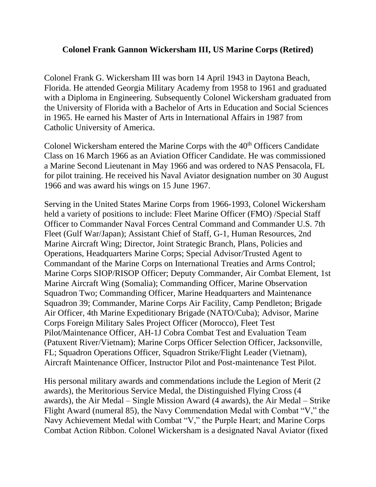## **Colonel Frank Gannon Wickersham III, US Marine Corps (Retired)**

Colonel Frank G. Wickersham III was born 14 April 1943 in Daytona Beach, Florida. He attended Georgia Military Academy from 1958 to 1961 and graduated with a Diploma in Engineering. Subsequently Colonel Wickersham graduated from the University of Florida with a Bachelor of Arts in Education and Social Sciences in 1965. He earned his Master of Arts in International Affairs in 1987 from Catholic University of America.

Colonel Wickersham entered the Marine Corps with the 40<sup>th</sup> Officers Candidate Class on 16 March 1966 as an Aviation Officer Candidate. He was commissioned a Marine Second Lieutenant in May 1966 and was ordered to NAS Pensacola, FL for pilot training. He received his Naval Aviator designation number on 30 August 1966 and was award his wings on 15 June 1967.

Serving in the United States Marine Corps from 1966-1993, Colonel Wickersham held a variety of positions to include: Fleet Marine Officer (FMO) /Special Staff Officer to Commander Naval Forces Central Command and Commander U.S. 7th Fleet (Gulf War/Japan); Assistant Chief of Staff, G-1, Human Resources, 2nd Marine Aircraft Wing; Director, Joint Strategic Branch, Plans, Policies and Operations, Headquarters Marine Corps; Special Advisor/Trusted Agent to Commandant of the Marine Corps on International Treaties and Arms Control; Marine Corps SIOP/RISOP Officer; Deputy Commander, Air Combat Element, 1st Marine Aircraft Wing (Somalia); Commanding Officer, Marine Observation Squadron Two; Commanding Officer, Marine Headquarters and Maintenance Squadron 39; Commander, Marine Corps Air Facility, Camp Pendleton; Brigade Air Officer, 4th Marine Expeditionary Brigade (NATO/Cuba); Advisor, Marine Corps Foreign Military Sales Project Officer (Morocco), Fleet Test Pilot/Maintenance Officer, AH-1J Cobra Combat Test and Evaluation Team (Patuxent River/Vietnam); Marine Corps Officer Selection Officer, Jacksonville, FL; Squadron Operations Officer, Squadron Strike/Flight Leader (Vietnam), Aircraft Maintenance Officer, Instructor Pilot and Post-maintenance Test Pilot.

His personal military awards and commendations include the Legion of Merit (2 awards), the Meritorious Service Medal, the Distinguished Flying Cross (4 awards), the Air Medal – Single Mission Award (4 awards), the Air Medal – Strike Flight Award (numeral 85), the Navy Commendation Medal with Combat "V," the Navy Achievement Medal with Combat "V," the Purple Heart; and Marine Corps Combat Action Ribbon. Colonel Wickersham is a designated Naval Aviator (fixed